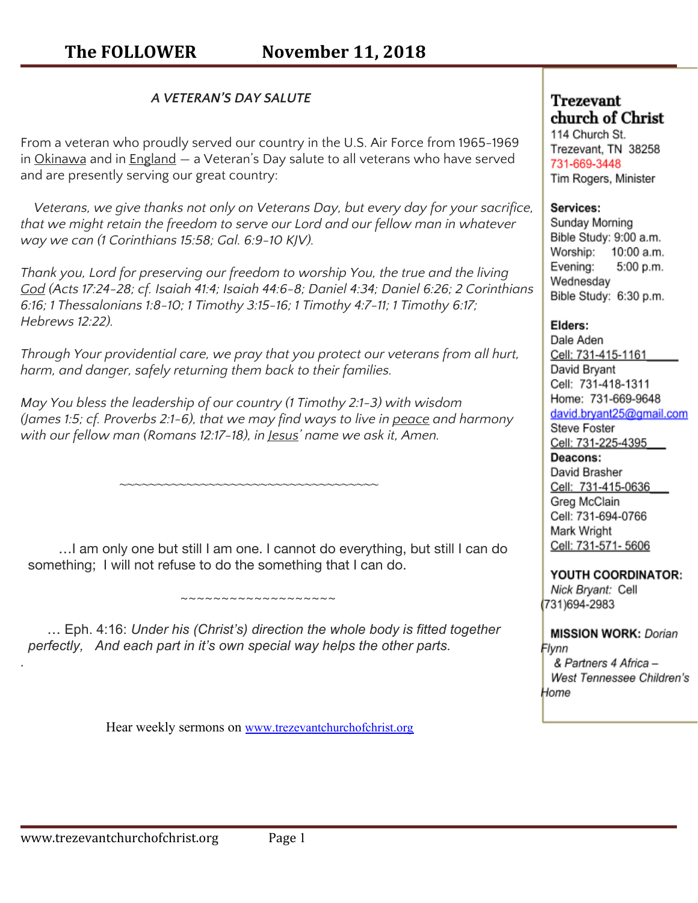## *A VETERAN'S DAY SALUTE*

From a veteran who proudly served our country in the U.S. Air Force from 1965-1969 in [Okinawa](http://images.google.com/images?hl=en&source=hp&q=okinawa+pictures&um=1&ie=UTF-8&ei=Sx37SpyLGJWknQeQ4rTzDA&sa=X&oi=image_result_group&ct=title&resnum=1&ved=0CBAQsAQwAA) and in  $England – a Vietnam's Day salute to all vectors who have served$  $England – a Vietnam's Day salute to all vectors who have served$  $England – a Vietnam's Day salute to all vectors who have served$ </u> and are presently serving our great country:

*Veterans, we give thanks not only on Veterans Day, but every day for your sacrifice, that we might retain the freedom to serve our Lord and our fellow man in whatever way we can (1 Corinthians 15:58; Gal. 6:9-10 KJV).*

*Thank you, Lord for preserving our freedom to worship You, the true and the living [God](https://gewatkins.net/tag/god/) (Acts 17:24-28; cf. Isaiah 41:4; Isaiah 44:6-8; Daniel 4:34; Daniel 6:26; 2 Corinthians 6:16; 1 Thessalonians 1:8-10; 1 Timothy 3:15-16; 1 Timothy 4:7-11; 1 Timothy 6:17; Hebrews 12:22).*

*Through Your providential care, we pray that you protect our veterans from all hurt, harm, and danger, safely returning them back to their families.*

*May You bless the leadership of our country (1 Timothy 2:1-3) with wisdom (James 1:5; cf. Proverbs 2:1-6), that we may find ways to live in [peace](https://gewatkins.net/tag/peace/) and harmony with our fellow man (Romans 12:17-18), in [Jesus](https://gewatkins.net/tag/jesus/)' name we ask it, Amen.*

~~~~~~~~~~~~~~~~~~~~~~~~~~~~~~~~~~~~~

 …I am only one but still I am one. I cannot do everything, but still I can do something; I will not refuse to do the something that I can do.

 … Eph. 4:16: *Under his (Christ's) direction the whole body is fitted together perfectly, And each part in it's own special way helps the other parts.*

~~~~~~~~~~~~~~~~~~~

Hear weekly sermons on [www.trezevantchurchofchrist.org](http://www.trezevantchurchofchrist.org/)

# **Trezevant** church of Christ

114 Church St. Trezevant, TN 38258 731-669-3448 Tim Rogers, Minister

## Services:

Sunday Morning Bible Study: 9:00 a.m. Worship: 10:00 a.m. Evening: 5:00 p.m. Wednesday Bible Study: 6:30 p.m.

# Elders:

Dale Aden Cell: 731-415-1161 David Bryant Cell: 731-418-1311 Home: 731-669-9648 david.bryant25@gmail.com **Steve Foster** Cell: 731-225-4395 Deacons: David Brasher Cell: 731-415-0636 Greg McClain Cell: 731-694-0766 Mark Wright Cell: 731-571-5606

YOUTH COORDINATOR: Nick Bryant: Cell 731)694-2983

**MISSION WORK: Dorian** Flynn & Partners 4 Africa -West Tennessee Children's Home

*.*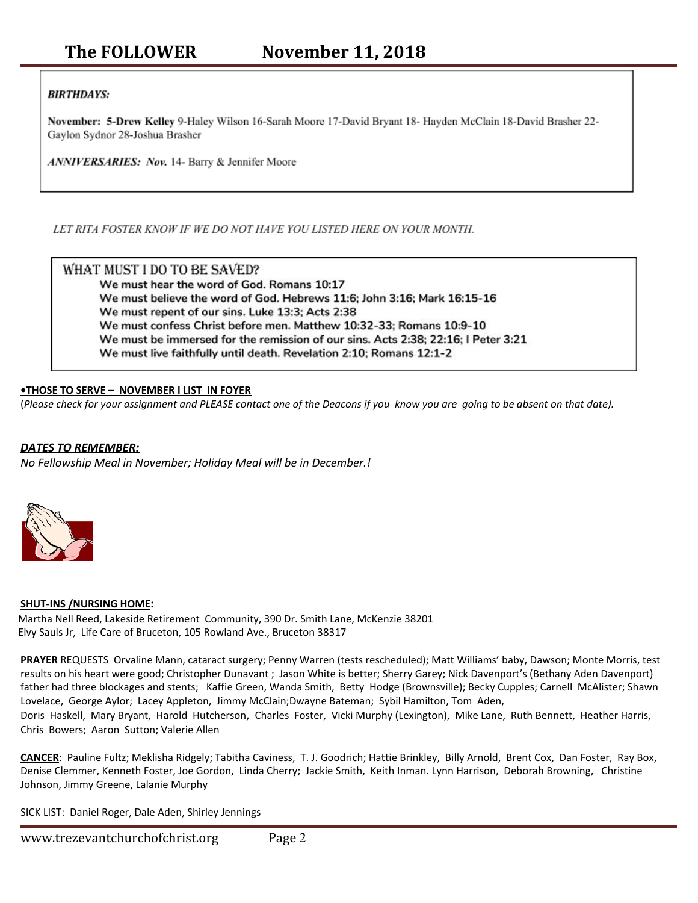## **BIRTHDAYS:**

November: 5-Drew Kelley 9-Haley Wilson 16-Sarah Moore 17-David Bryant 18- Hayden McClain 18-David Brasher 22-Gaylon Sydnor 28-Joshua Brasher

ANNIVERSARIES: Nov. 14- Barry & Jennifer Moore

LET RITA FOSTER KNOW IF WE DO NOT HAVE YOU LISTED HERE ON YOUR MONTH.

WHAT MUST I DO TO BE SAVED? We must hear the word of God. Romans 10:17 We must believe the word of God. Hebrews 11:6; John 3:16; Mark 16:15-16 We must repent of our sins. Luke 13:3; Acts 2:38 We must confess Christ before men. Matthew 10:32-33; Romans 10:9-10 We must be immersed for the remission of our sins. Acts 2:38; 22:16; I Peter 3:21 We must live faithfully until death. Revelation 2:10; Romans 12:1-2

#### **•THOSE TO SERVE – NOVEMBER l LIST IN FOYER**

(Please check for your assignment and PLEASE contact one of the Deacons if you know you are going to be absent on that date).

### *DATES TO REMEMBER:*

*No Fellowship Meal in November; Holiday Meal will be in December.!*



#### **SHUT-INS /NURSING HOME:**

Martha Nell Reed, Lakeside Retirement Community, 390 Dr. Smith Lane, McKenzie 38201 Elvy Sauls Jr, Life Care of Bruceton, 105 Rowland Ave., Bruceton 38317

**PRAYER** REQUESTS Orvaline Mann, cataract surgery; Penny Warren (tests rescheduled); Matt Williams' baby, Dawson; Monte Morris, test results on his heart were good; Christopher Dunavant ; Jason White is better; Sherry Garey; Nick Davenport's (Bethany Aden Davenport) father had three blockages and stents; Kaffie Green, Wanda Smith, Betty Hodge (Brownsville); Becky Cupples; Carnell McAlister; Shawn Lovelace, George Aylor; Lacey Appleton, Jimmy McClain;Dwayne Bateman; Sybil Hamilton, Tom Aden,

Doris Haskell, Mary Bryant, Harold Hutcherson, Charles Foster, Vicki Murphy (Lexington), Mike Lane, Ruth Bennett, Heather Harris, Chris Bowers; Aaron Sutton; Valerie Allen

**CANCER**: Pauline Fultz; Meklisha Ridgely; Tabitha Caviness, T. J. Goodrich; Hattie Brinkley, Billy Arnold, Brent Cox, Dan Foster, Ray Box, Denise Clemmer, Kenneth Foster, Joe Gordon, Linda Cherry; Jackie Smith, Keith Inman. Lynn Harrison, Deborah Browning, Christine Johnson, Jimmy Greene, Lalanie Murphy

SICK LIST: Daniel Roger, Dale Aden, Shirley Jennings